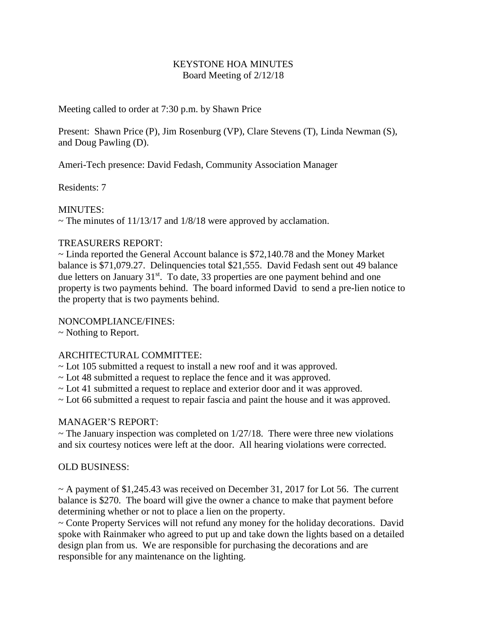## KEYSTONE HOA MINUTES Board Meeting of 2/12/18

Meeting called to order at 7:30 p.m. by Shawn Price

Present: Shawn Price (P), Jim Rosenburg (VP), Clare Stevens (T), Linda Newman (S), and Doug Pawling (D).

Ameri-Tech presence: David Fedash, Community Association Manager

Residents: 7

## MINUTES:

 $\sim$  The minutes of 11/13/17 and 1/8/18 were approved by acclamation.

## TREASURERS REPORT:

 $\sim$  Linda reported the General Account balance is \$72,140.78 and the Money Market balance is \$71,079.27. Delinquencies total \$21,555. David Fedash sent out 49 balance due letters on January  $31^{st}$ . To date, 33 properties are one payment behind and one property is two payments behind. The board informed David to send a pre-lien notice to the property that is two payments behind.

## NONCOMPLIANCE/FINES:

~ Nothing to Report.

# ARCHITECTURAL COMMITTEE:

- ~ Lot 105 submitted a request to install a new roof and it was approved.
- ~ Lot 48 submitted a request to replace the fence and it was approved.
- ~ Lot 41 submitted a request to replace and exterior door and it was approved.
- ~ Lot 66 submitted a request to repair fascia and paint the house and it was approved.

### MANAGER'S REPORT:

 $\sim$  The January inspection was completed on 1/27/18. There were three new violations and six courtesy notices were left at the door. All hearing violations were corrected.

### OLD BUSINESS:

 $\sim$  A payment of \$1,245.43 was received on December 31, 2017 for Lot 56. The current balance is \$270. The board will give the owner a chance to make that payment before determining whether or not to place a lien on the property.

~ Conte Property Services will not refund any money for the holiday decorations. David spoke with Rainmaker who agreed to put up and take down the lights based on a detailed design plan from us. We are responsible for purchasing the decorations and are responsible for any maintenance on the lighting.